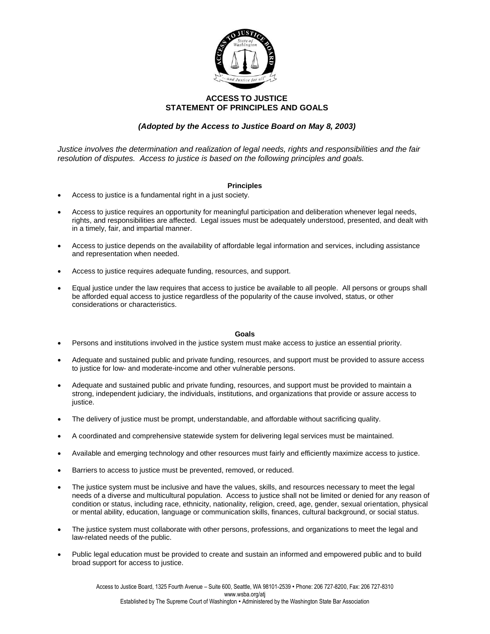

## **ACCESS TO JUSTICE STATEMENT OF PRINCIPLES AND GOALS**

## *(Adopted by the Access to Justice Board on May 8, 2003)*

*Justice involves the determination and realization of legal needs, rights and responsibilities and the fair resolution of disputes. Access to justice is based on the following principles and goals.*

## **Principles**

- Access to justice is a fundamental right in a just society.
- Access to justice requires an opportunity for meaningful participation and deliberation whenever legal needs, rights, and responsibilities are affected. Legal issues must be adequately understood, presented, and dealt with in a timely, fair, and impartial manner.
- Access to justice depends on the availability of affordable legal information and services, including assistance and representation when needed.
- Access to justice requires adequate funding, resources, and support.
- Equal justice under the law requires that access to justice be available to all people. All persons or groups shall be afforded equal access to justice regardless of the popularity of the cause involved, status, or other considerations or characteristics.

## **Goals**

- Persons and institutions involved in the justice system must make access to justice an essential priority.
- Adequate and sustained public and private funding, resources, and support must be provided to assure access to justice for low- and moderate-income and other vulnerable persons.
- Adequate and sustained public and private funding, resources, and support must be provided to maintain a strong, independent judiciary, the individuals, institutions, and organizations that provide or assure access to justice.
- The delivery of justice must be prompt, understandable, and affordable without sacrificing quality.
- A coordinated and comprehensive statewide system for delivering legal services must be maintained.
- Available and emerging technology and other resources must fairly and efficiently maximize access to justice.
- Barriers to access to justice must be prevented, removed, or reduced.
- The justice system must be inclusive and have the values, skills, and resources necessary to meet the legal needs of a diverse and multicultural population. Access to justice shall not be limited or denied for any reason of condition or status, including race, ethnicity, nationality, religion, creed, age, gender, sexual orientation, physical or mental ability, education, language or communication skills, finances, cultural background, or social status.
- The justice system must collaborate with other persons, professions, and organizations to meet the legal and law-related needs of the public.
- Public legal education must be provided to create and sustain an informed and empowered public and to build broad support for access to justice.

Access to Justice Board, 1325 Fourth Avenue – Suite 600, Seattle, WA 98101-2539 • Phone: 206 727-8200, Fax: 206 727-8310 www.wsba.org/atj Established by The Supreme Court of Washington • Administered by the Washington State Bar Association